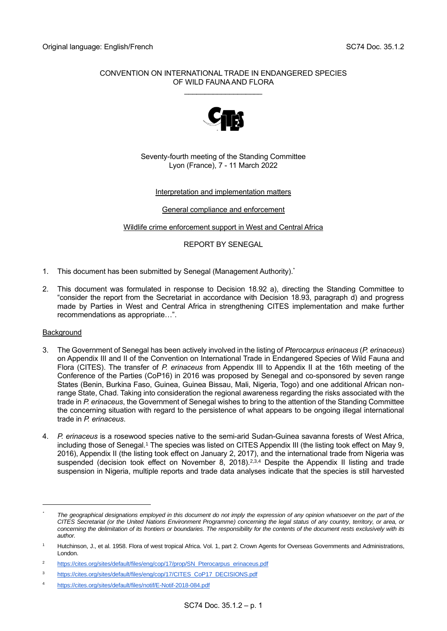## CONVENTION ON INTERNATIONAL TRADE IN ENDANGERED SPECIES OF WILD FAUNA AND FLORA

\_\_\_\_\_\_\_\_\_\_\_\_\_\_\_\_\_\_\_



## Seventy-fourth meeting of the Standing Committee Lyon (France), 7 - 11 March 2022

# Interpretation and implementation matters

General compliance and enforcement

Wildlife crime enforcement support in West and Central Africa

REPORT BY SENEGAL

- 1. This document has been submitted by Senegal (Management Authority). \*
- 2. This document was formulated in response to Decision 18.92 a), directing the Standing Committee to "consider the report from the Secretariat in accordance with Decision 18.93, paragraph d) and progress made by Parties in West and Central Africa in strengthening CITES implementation and make further recommendations as appropriate…".

# Background

- 3. The Government of Senegal has been actively involved in the listing of *Pterocarpus erinaceus* (*P. erinaceus*) on Appendix III and II of the Convention on International Trade in Endangered Species of Wild Fauna and Flora (CITES). The transfer of *P. erinaceus* from Appendix III to Appendix II at the 16th meeting of the Conference of the Parties (CoP16) in 2016 was proposed by Senegal and co-sponsored by seven range States (Benin, Burkina Faso, Guinea, Guinea Bissau, Mali, Nigeria, Togo) and one additional African nonrange State, Chad. Taking into consideration the regional awareness regarding the risks associated with the trade in *P. erinaceus*, the Government of Senegal wishes to bring to the attention of the Standing Committee the concerning situation with regard to the persistence of what appears to be ongoing illegal international trade in *P. erinaceus*.
- 4. *P. erinaceus* is a rosewood species native to the semi-arid Sudan-Guinea savanna forests of West Africa, including those of Senegal.<sup>1</sup> The species was listed on CITES Appendix III (the listing took effect on May 9, 2016), Appendix II (the listing took effect on January 2, 2017), and the international trade from Nigeria was suspended (decision took effect on November 8, 2018).<sup>2,3,4</sup> Despite the Appendix II listing and trade suspension in Nigeria, multiple reports and trade data analyses indicate that the species is still harvested

*<sup>\*</sup> The geographical designations employed in this document do not imply the expression of any opinion whatsoever on the part of the CITES Secretariat (or the United Nations Environment Programme) concerning the legal status of any country, territory, or area, or concerning the delimitation of its frontiers or boundaries. The responsibility for the contents of the document rests exclusively with its author.*

Hutchinson, J., et al. 1958. Flora of west tropical Africa. Vol. 1, part 2. Crown Agents for Overseas Governments and Administrations, London.

<sup>&</sup>lt;sup>2</sup> [https://cites.org/sites/default/files/eng/cop/17/prop/SN\\_Pterocarpus\\_erinaceus.pdf](https://cites.org/sites/default/files/eng/cop/17/prop/SN_Pterocarpus_erinaceus.pdf)

<sup>3</sup> [https://cites.org/sites/default/files/eng/cop/17/CITES\\_CoP17\\_DECISIONS.pdf](https://cites.org/sites/default/files/eng/cop/17/CITES_CoP17_DECISIONS.pdf)

<sup>4</sup> <https://cites.org/sites/default/files/notif/E-Notif-2018-084.pdf>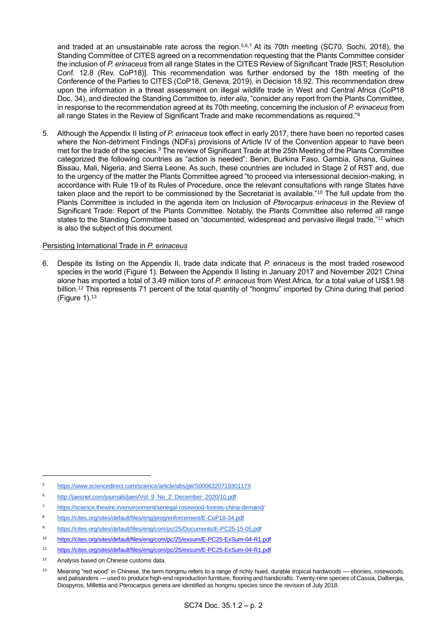and traded at an unsustainable rate across the region.<sup>5,6,7</sup> At its 70th meeting (SC70, Sochi, 2018), the Standing Committee of CITES agreed on a recommendation requesting that the Plants Committee consider the inclusion of *P. erinaceus* from all range States in the CITES Review of Significant Trade [RST; Resolution Conf. 12.8 (Rev. CoP18)]. This recommendation was further endorsed by the 18th meeting of the Conference of the Parties to CITES (CoP18, Geneva, 2019), in Decision 18.92. This recommendation drew upon the information in a threat assessment on illegal wildlife trade in West and Central Africa (CoP18 Doc. 34), and directed the Standing Committee to, *inter alia*, "consider any report from the Plants Committee, in response to the recommendation agreed at its 70th meeting, concerning the inclusion of *P. erinaceus* from all range States in the Review of Significant Trade and make recommendations as required."<sup>8</sup>

5. Although the Appendix II listing *of P. erinaceus* took effect in early 2017, there have been no reported cases where the Non-detriment Findings (NDFs) provisions of Article IV of the Convention appear to have been met for the trade of the species.<sup>9</sup> The review of Significant Trade at the 25th Meeting of the Plants Committee categorized the following countries as "action is needed": Benin, Burkina Faso, Gambia, Ghana, Guinea Bissau, Mali, Nigeria, and Sierra Leone. As such, these countries are included in Stage 2 of RST and, due to the urgency of the matter the Plants Committee agreed "to proceed via intersessional decision-making, in accordance with Rule 19 of its Rules of Procedure, once the relevant consultations with range States have taken place and the report to be commissioned by the Secretariat is available."<sup>10</sup> The full update from the Plants Committee is included in the agenda item on Inclusion of *Pterocarpus erinaceus* in the Review of Significant Trade: Report of the Plants Committee. Notably, the Plants Committee also referred all range states to the Standing Committee based on "documented, widespread and pervasive illegal trade,"<sup>11</sup> which is also the subject of this document.

## Persisting International Trade in *P. erinaceus*

6. Despite its listing on the Appendix II, trade data indicate that *P. erinaceus* is the most traded rosewood species in the world (Figure 1). Between the Appendix II listing in January 2017 and November 2021 China alone has imported a total of 3.49 million tons of *P. erinaceus* from West Africa, for a total value of US\$1.98 billion.<sup>12</sup> This represents 71 percent of the total quantity of "hongmu" imported by China during that period (Figure 1). $13$ 

- <sup>7</sup> <https://science.thewire.in/environment/senegal-rosewood-forests-china-demand/>
- <sup>8</sup> <https://cites.org/sites/default/files/eng/prog/enforcement/E-CoP18-34.pdf>
- <sup>9</sup> <https://cites.org/sites/default/files/eng/com/pc/25/Documents/E-PC25-15-05.pdf>
- <sup>10</sup> <https://cites.org/sites/default/files/eng/com/pc/25/exsum/E-PC25-ExSum-04-R1.pdf>
- <sup>11</sup> <https://cites.org/sites/default/files/eng/com/pc/25/exsum/E-PC25-ExSum-04-R1.pdf>

<sup>5</sup> <https://www.sciencedirect.com/science/article/abs/pii/S000632071930117X>

<sup>6</sup> [http://jaesnet.com/journals/jaes/Vol\\_9\\_No\\_2\\_December\\_2020/10.pdf](http://jaesnet.com/journals/jaes/Vol_9_No_2_December_2020/10.pdf)

<sup>12</sup> Analysis based on Chinese customs data.

<sup>13</sup> Meaning "red wood" in Chinese, the term hongmu refers to a range of richly hued, durable tropical hardwoods — ebonies, rosewoods, and palisanders — used to produce high-end reproduction furniture, flooring and handicrafts. Twenty-nine species of Cassia, Dalbergia, Diospyros, Millettia and Pterocarpus genera are identified as hongmu species since the revision of July 2018.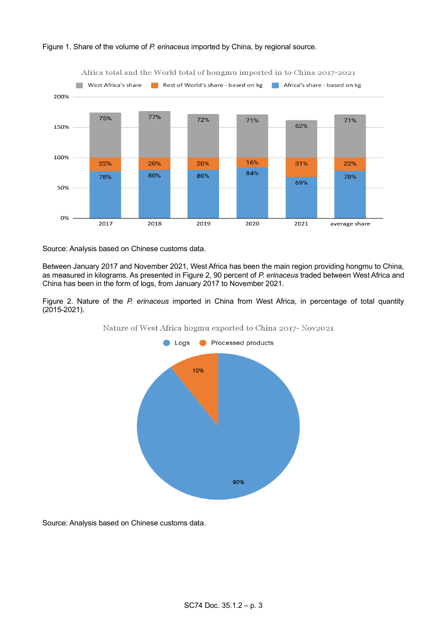

### Figure 1. Share of the volume of *P. erinaceus* imported by China, by regional source.

Source: Analysis based on Chinese customs data.

Between January 2017 and November 2021, West Africa has been the main region providing hongmu to China, as measured in kilograms. As presented in Figure 2, 90 percent of *P. erinaceus* traded between West Africa and China has been in the form of logs, from January 2017 to November 2021.

Figure 2. Nature of the *P. erinaceus* imported in China from West Africa, in percentage of total quantity (2015-2021).



Nature of West Africa hogmu exported to China 2017- Nov2021

Source: Analysis based on Chinese customs data.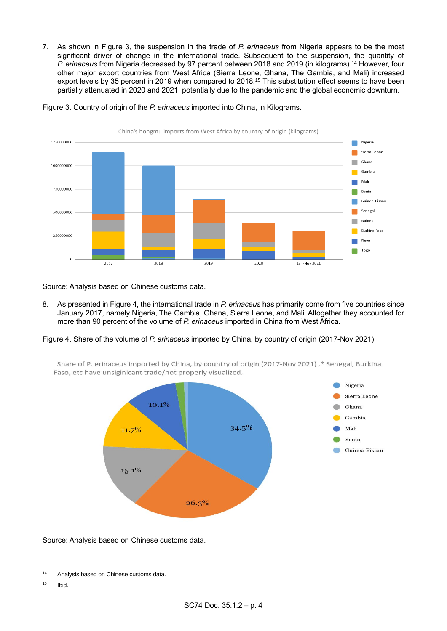7. As shown in Figure 3, the suspension in the trade of *P. erinaceus* from Nigeria appears to be the most significant driver of change in the international trade. Subsequent to the suspension, the quantity of *P. erinaceus* from Nigeria decreased by 97 percent between 2018 and 2019 (in kilograms).<sup>14</sup> However, four other major export countries from West Africa (Sierra Leone, Ghana, The Gambia, and Mali) increased export levels by 35 percent in 2019 when compared to 2018.<sup>15</sup> This substitution effect seems to have been partially attenuated in 2020 and 2021, potentially due to the pandemic and the global economic downturn.



Figure 3. Country of origin of the *P. erinaceus* imported into China, in Kilograms.

Source: Analysis based on Chinese customs data.

8. As presented in Figure 4, the international trade in *P. erinaceus* has primarily come from five countries since January 2017, namely Nigeria, The Gambia, Ghana, Sierra Leone, and Mali. Altogether they accounted for more than 90 percent of the volume of *P. erinaceus* imported in China from West Africa.

Figure 4. Share of the volume of *P. erinaceus* imported by China, by country of origin (2017-Nov 2021).

Share of P. erinaceus imported by China, by country of origin (2017-Nov 2021) .\* Senegal, Burkina Faso, etc have unsiginicant trade/not properly visualized.



Source: Analysis based on Chinese customs data.

 $15$  Ibid.

<sup>14</sup> Analysis based on Chinese customs data.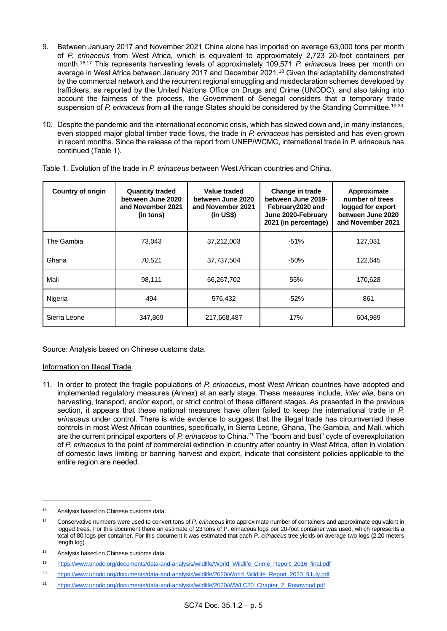- 9. Between January 2017 and November 2021 China alone has imported on average 63,000 tons per month of *P. erinaceus* from West Africa, which is equivalent to approximately 2,723 20-foot containers per month.16,17 This represents harvesting levels of approximately 109,571 *P. erinaceus* trees per month on average in West Africa between January 2017 and December 2021.<sup>18</sup> Given the adaptability demonstrated by the commercial network and the recurrent regional smuggling and misdeclaration schemes developed by traffickers, as reported by the United Nations Office on Drugs and Crime (UNODC), and also taking into account the fairness of the process, the Government of Senegal considers that a temporary trade suspension of *P. erinaceus* from all the range States should be considered by the Standing Committee.<sup>19,20</sup>
- 10. Despite the pandemic and the international economic crisis, which has slowed down and, in many instances, even stopped major global timber trade flows, the trade in *P. erinaceus* has persisted and has even grown in recent months. Since the release of the report from UNEP/WCMC, international trade in P. erinaceus has continued (Table 1).

| <b>Country of origin</b> | <b>Quantity traded</b><br>between June 2020<br>and November 2021<br>(in tons) | Value traded<br>between June 2020<br>and November 2021<br>$(in US\)$ | Change in trade<br>between June 2019-<br>February 2020 and<br>June 2020-February<br>2021 (in percentage) | Approximate<br>number of trees<br>logged for export<br>between June 2020<br>and November 2021 |
|--------------------------|-------------------------------------------------------------------------------|----------------------------------------------------------------------|----------------------------------------------------------------------------------------------------------|-----------------------------------------------------------------------------------------------|
| The Gambia               | 73,043                                                                        | 37,212,003                                                           | $-51%$                                                                                                   | 127,031                                                                                       |
| Ghana                    | 70,521                                                                        | 37,737,504                                                           | $-50%$                                                                                                   | 122,645                                                                                       |
| Mali                     | 98,111                                                                        | 66,267,702                                                           | 55%                                                                                                      | 170,628                                                                                       |
| Nigeria                  | 494                                                                           | 576,432                                                              | $-52%$                                                                                                   | 861                                                                                           |
| Sierra Leone             | 347,869                                                                       | 217,668,487                                                          | 17%                                                                                                      | 604,989                                                                                       |

Table 1. Evolution of the trade in *P. erinaceus* between West African countries and China.

Source: Analysis based on Chinese customs data.

#### Information on Illegal Trade

11. In order to protect the fragile populations of *P. erinaceus*, most West African countries have adopted and implemented regulatory measures (Annex) at an early stage. These measures include, *inter alia*, bans on harvesting, transport, and/or export, or strict control of these different stages. As presented in the previous section, it appears that these national measures have often failed to keep the international trade in *P. erinaceus* under control. There is wide evidence to suggest that the illegal trade has circumvented these controls in most West African countries, specifically, in Sierra Leone, Ghana, The Gambia, and Mali, which are the current principal exporters of *P. erinaceus* to China.<sup>21</sup> The "boom and bust" cycle of overexploitation of *P. erinaceus* to the point of commercial extinction in country after country in West Africa, often in violation of domestic laws limiting or banning harvest and export, indicate that consistent policies applicable to the entire region are needed.

<sup>&</sup>lt;sup>16</sup> Analysis based on Chinese customs data.

<sup>17</sup> Conservative numbers were used to convert tons of *P. erinaceus* into approximate number of containers and approximate equivalent in logged trees. For this document there an estimate of 23 tons of P. erinaceus logs per 20-foot container was used, which represents a total of 80 logs per container. For this document it was estimated that each *P. erinaceus* tree yields on average two logs (2.20 meters length log).

<sup>18</sup> Analysis based on Chinese customs data.

<sup>19</sup> [https://www.unodc.org/documents/data-and-analysis/wildlife/World\\_Wildlife\\_Crime\\_Report\\_2016\\_final.pdf](https://www.unodc.org/documents/data-and-analysis/wildlife/World_Wildlife_Crime_Report_2016_final.pdf)

<sup>&</sup>lt;sup>20</sup> [https://www.unodc.org/documents/data-and-analysis/wildlife/2020/World\\_Wildlife\\_Report\\_2020\\_9July.pdf](https://www.unodc.org/documents/data-and-analysis/wildlife/2020/World_Wildlife_Report_2020_9July.pdf)

<sup>21</sup> [https://www.unodc.org/documents/data-and-analysis/wildlife/2020/WWLC20\\_Chapter\\_2\\_Rosewood.pdf](https://www.unodc.org/documents/data-and-analysis/wildlife/2020/WWLC20_Chapter_2_Rosewood.pdf)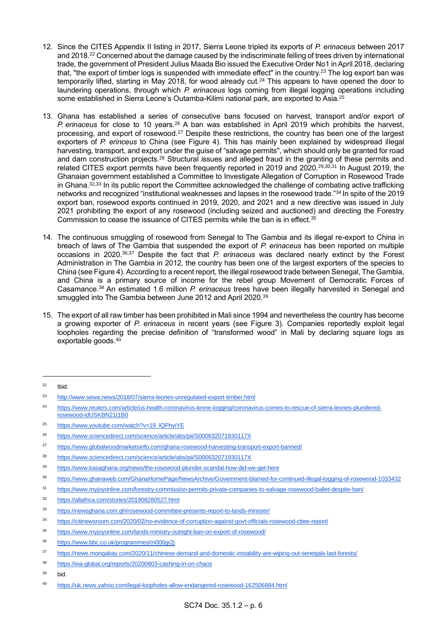- 12. Since the CITES Appendix II listing in 2017, Sierra Leone tripled its exports of *P. erinaceus* between 2017 and 2018.<sup>22</sup> Concerned about the damage caused by the indiscriminate felling of trees driven by international trade, the government of President Julius Maada Bio issued the Executive Order No1 in April 2018, declaring that, "the export of timber logs is suspended with immediate effect" in the country.<sup>23</sup> The log export ban was temporarily lifted, starting in May 2018, for wood already cut.<sup>24</sup> This appears to have opened the door to laundering operations, through which *P. erinaceus* logs coming from illegal logging operations including some established in Sierra Leone's Outamba-Kilimi national park, are exported to Asia.<sup>25</sup>
- 13. Ghana has established a series of consecutive bans focused on harvest, transport and/or export of *P. erinaceus* for close to 10 years.<sup>26</sup> A ban was established in April 2019 which prohibits the harvest, processing, and export of rosewood.<sup>27</sup> Despite these restrictions, the country has been one of the largest exporters of *P. erinceus* to China (see Figure 4). This has mainly been explained by widespread illegal harvesting, transport, and export under the guise of "salvage permits'', which should only be granted for road and dam construction projects.<sup>28</sup> Structural issues and alleged fraud in the granting of these permits and related CITES export permits have been frequently reported in 2019 and 2020.<sup>29,30,31</sup> In August 2019, the Ghanaian government established a Committee to Investigate Allegation of Corruption in Rosewood Trade in Ghana.<sup>32,33</sup> In its public report the Committee acknowledged the challenge of combating active trafficking networks and recognized "institutional weaknesses and lapses in the rosewood trade."<sup>34</sup> In spite of the 2019 export ban, rosewood exports continued in 2019, 2020, and 2021 and a new directive was issued in July 2021 prohibiting the export of any rosewood (including seized and auctioned) and directing the Forestry Commission to cease the issuance of CITES permits while the ban is in effect.<sup>35</sup>
- 14. The continuous smuggling of rosewood from Senegal to The Gambia and its illegal re-export to China in breach of laws of The Gambia that suspended the export of *P. erinaceus* has been reported on multiple occasions in 2020.36,37 Despite the fact that *P. erinaceus* was declared nearly extinct by the Forest Administration in The Gambia in 2012, the country has been one of the largest exporters of the species to China (see Figure 4). According to a recent report, the illegal rosewood trade between Senegal, The Gambia, and China is a primary source of income for the rebel group Movement of Democratic Forces of Casamance.<sup>38</sup> An estimated 1.6 million *P. erinaceus* trees have been illegally harvested in Senegal and smuggled into The Gambia between June 2012 and April 2020.<sup>39</sup>
- 15. The export of all raw timber has been prohibited in Mali since 1994 and nevertheless the country has become a growing exporter of *P. erinaceus* in recent years (see Figure 3). Companies reportedly exploit legal loopholes regarding the precise definition of "transformed wood" in Mali by declaring square logs as exportable goods.<sup>40</sup>

<sup>32</sup> <https://allafrica.com/stories/201908280527.html>

- <sup>38</sup> <https://eia-global.org/reports/20200603-cashing-in-on-chaos>
- <sup>39</sup> bid.

 $22$  Ibid.

<sup>23</sup> <http://www.sewa.news/2018/07/sierra-leones-unregulated-export-timber.html>

<sup>24</sup> [https://www.reuters.com/article/us-health-coronavirus-leone-logging/coronavirus-comes-to-rescue-of-sierra-leones-plundered](https://www.reuters.com/article/us-health-coronavirus-leone-logging/coronavirus-comes-to-rescue-of-sierra-leones-plundered-rosewood-idUSKBN21I1B0)[rosewood-idUSKBN21I1B0](https://www.reuters.com/article/us-health-coronavirus-leone-logging/coronavirus-comes-to-rescue-of-sierra-leones-plundered-rosewood-idUSKBN21I1B0)

<sup>25</sup> [https://www.youtube.com/watch?v=19\\_lQPhyiYE](https://www.youtube.com/watch?v=19_lQPhyiYE)

<sup>26</sup> <https://www.sciencedirect.com/science/article/abs/pii/S000632071930117X>

<sup>27</sup> <https://www.globalwoodmarketsinfo.com/ghana-rosewood-harvesting-transport-export-banned/>

<sup>28</sup> <https://www.sciencedirect.com/science/article/abs/pii/S000632071930117X>

<sup>29</sup> <https://www.kasaghana.org/news/the-rosewood-plunder-scandal-how-did-we-get-here>

<sup>30</sup> <https://www.ghanaweb.com/GhanaHomePage/NewsArchive/Government-blamed-for-continued-illegal-logging-of-rosewood-1033432>

<sup>31</sup> <https://www.myjoyonline.com/forestry-commission-permits-private-companies-to-salvage-rosewood-ballet-despite-ban/>

<sup>33</sup> <https://newsghana.com.gh/rosewood-committee-presents-report-to-lands-minister/>

<sup>34</sup> <https://citinewsroom.com/2020/02/no-evidence-of-corruption-against-govt-officials-rosewood-cttee-report/>

<sup>35</sup> <https://www.myjoyonline.com/lands-ministry-outright-ban-on-export-of-rosewood/>

<sup>36</sup> <https://www.bbc.co.uk/programmes/m000gr2j>

<sup>37</sup> <https://news.mongabay.com/2020/11/chinese-demand-and-domestic-instability-are-wiping-out-senegals-last-forests/>

<sup>40</sup> <https://uk.news.yahoo.com/legal-loopholes-allow-endangered-rosewood-162506884.html>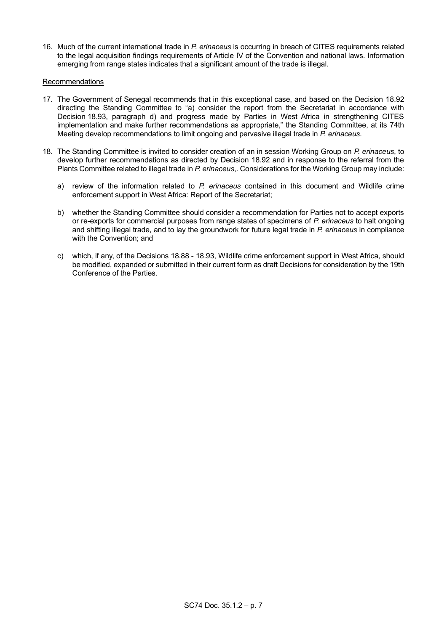16. Much of the current international trade in *P. erinaceus* is occurring in breach of CITES requirements related to the legal acquisition findings requirements of Article IV of the Convention and national laws. Information emerging from range states indicates that a significant amount of the trade is illegal.

### Recommendations

- 17. The Government of Senegal recommends that in this exceptional case, and based on the Decision 18.92 directing the Standing Committee to "a) consider the report from the Secretariat in accordance with Decision 18.93, paragraph d) and progress made by Parties in West Africa in strengthening CITES implementation and make further recommendations as appropriate," the Standing Committee, at its 74th Meeting develop recommendations to limit ongoing and pervasive illegal trade in *P. erinaceus*.
- 18. The Standing Committee is invited to consider creation of an in session Working Group on *P. erinaceus*, to develop further recommendations as directed by Decision 18.92 and in response to the referral from the Plants Committee related to illegal trade in *P. erinaceus*,. Considerations for the Working Group may include:
	- a) review of the information related to *P. erinaceus* contained in this document and Wildlife crime enforcement support in West Africa: Report of the Secretariat;
	- b) whether the Standing Committee should consider a recommendation for Parties not to accept exports or re-exports for commercial purposes from range states of specimens of *P. erinaceus* to halt ongoing and shifting illegal trade, and to lay the groundwork for future legal trade in *P. erinaceus* in compliance with the Convention; and
	- c) which, if any, of the Decisions 18.88 18.93, Wildlife crime enforcement support in West Africa, should be modified, expanded or submitted in their current form as draft Decisions for consideration by the 19th Conference of the Parties.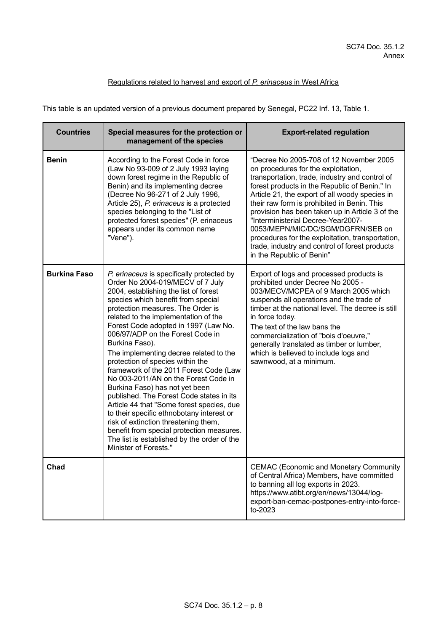# Regulations related to harvest and export of *P. erinaceus* in West Africa

This table is an updated version of a previous document prepared by Senegal, PC22 Inf. 13, Table 1.

| <b>Countries</b>    | Special measures for the protection or<br>management of the species                                                                                                                                                                                                                                                                                                                                                                                                                                                                                                                                                                                                                                                                                                                                                                          | <b>Export-related regulation</b>                                                                                                                                                                                                                                                                                                                                                                                                                                                                                                                    |
|---------------------|----------------------------------------------------------------------------------------------------------------------------------------------------------------------------------------------------------------------------------------------------------------------------------------------------------------------------------------------------------------------------------------------------------------------------------------------------------------------------------------------------------------------------------------------------------------------------------------------------------------------------------------------------------------------------------------------------------------------------------------------------------------------------------------------------------------------------------------------|-----------------------------------------------------------------------------------------------------------------------------------------------------------------------------------------------------------------------------------------------------------------------------------------------------------------------------------------------------------------------------------------------------------------------------------------------------------------------------------------------------------------------------------------------------|
| <b>Benin</b>        | According to the Forest Code in force<br>(Law No 93-009 of 2 July 1993 laying<br>down forest regime in the Republic of<br>Benin) and its implementing decree<br>(Decree No 96-271 of 2 July 1996,<br>Article 25), P. erinaceus is a protected<br>species belonging to the "List of<br>protected forest species" (P. erinaceus<br>appears under its common name<br>"Vene").                                                                                                                                                                                                                                                                                                                                                                                                                                                                   | "Decree No 2005-708 of 12 November 2005<br>on procedures for the exploitation,<br>transportation, trade, industry and control of<br>forest products in the Republic of Benin." In<br>Article 21, the export of all woody species in<br>their raw form is prohibited in Benin. This<br>provision has been taken up in Article 3 of the<br>"Interministerial Decree-Year2007-<br>0053/MEPN/MIC/DC/SGM/DGFRN/SEB on<br>procedures for the exploitation, transportation,<br>trade, industry and control of forest products<br>in the Republic of Benin" |
| <b>Burkina Faso</b> | P. erinaceus is specifically protected by<br>Order No 2004-019/MECV of 7 July<br>2004, establishing the list of forest<br>species which benefit from special<br>protection measures. The Order is<br>related to the implementation of the<br>Forest Code adopted in 1997 (Law No.<br>006/97/ADP on the Forest Code in<br>Burkina Faso).<br>The implementing decree related to the<br>protection of species within the<br>framework of the 2011 Forest Code (Law<br>No 003-2011/AN on the Forest Code in<br>Burkina Faso) has not yet been<br>published. The Forest Code states in its<br>Article 44 that "Some forest species, due<br>to their specific ethnobotany interest or<br>risk of extinction threatening them,<br>benefit from special protection measures.<br>The list is established by the order of the<br>Minister of Forests." | Export of logs and processed products is<br>prohibited under Decree No 2005 -<br>003/MECV/MCPEA of 9 March 2005 which<br>suspends all operations and the trade of<br>timber at the national level. The decree is still<br>in force today.<br>The text of the law bans the<br>commercialization of "bois d'oeuvre,"<br>generally translated as timber or lumber,<br>which is believed to include logs and<br>sawnwood, at a minimum.                                                                                                                 |
| Chad                |                                                                                                                                                                                                                                                                                                                                                                                                                                                                                                                                                                                                                                                                                                                                                                                                                                              | <b>CEMAC (Economic and Monetary Community</b><br>of Central Africa) Members, have committed<br>to banning all log exports in 2023.<br>https://www.atibt.org/en/news/13044/log-<br>export-ban-cemac-postpones-entry-into-force-<br>to-2023                                                                                                                                                                                                                                                                                                           |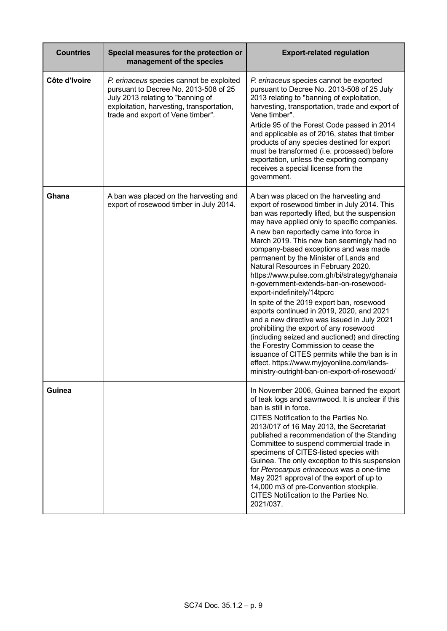| <b>Countries</b> | Special measures for the protection or<br>management of the species                                                                                                                                      | <b>Export-related regulation</b>                                                                                                                                                                                                                                                                                                                                                                                                                                                                                                                                                                                                                                                                                                                                                                                                                                                                                                                              |
|------------------|----------------------------------------------------------------------------------------------------------------------------------------------------------------------------------------------------------|---------------------------------------------------------------------------------------------------------------------------------------------------------------------------------------------------------------------------------------------------------------------------------------------------------------------------------------------------------------------------------------------------------------------------------------------------------------------------------------------------------------------------------------------------------------------------------------------------------------------------------------------------------------------------------------------------------------------------------------------------------------------------------------------------------------------------------------------------------------------------------------------------------------------------------------------------------------|
| Côte d'Ivoire    | P. erinaceus species cannot be exploited<br>pursuant to Decree No. 2013-508 of 25<br>July 2013 relating to "banning of<br>exploitation, harvesting, transportation,<br>trade and export of Vene timber". | P. erinaceus species cannot be exported<br>pursuant to Decree No. 2013-508 of 25 July<br>2013 relating to "banning of exploitation,<br>harvesting, transportation, trade and export of<br>Vene timber".<br>Article 95 of the Forest Code passed in 2014<br>and applicable as of 2016, states that timber<br>products of any species destined for export<br>must be transformed (i.e. processed) before<br>exportation, unless the exporting company<br>receives a special license from the<br>government.                                                                                                                                                                                                                                                                                                                                                                                                                                                     |
| Ghana            | A ban was placed on the harvesting and<br>export of rosewood timber in July 2014.                                                                                                                        | A ban was placed on the harvesting and<br>export of rosewood timber in July 2014. This<br>ban was reportedly lifted, but the suspension<br>may have applied only to specific companies.<br>A new ban reportedly came into force in<br>March 2019. This new ban seemingly had no<br>company-based exceptions and was made<br>permanent by the Minister of Lands and<br>Natural Resources in February 2020.<br>https://www.pulse.com.gh/bi/strategy/ghanaia<br>n-government-extends-ban-on-rosewood-<br>export-indefinitely/14tpcrc<br>In spite of the 2019 export ban, rosewood<br>exports continued in 2019, 2020, and 2021<br>and a new directive was issued in July 2021<br>prohibiting the export of any rosewood<br>(including seized and auctioned) and directing<br>the Forestry Commission to cease the<br>issuance of CITES permits while the ban is in<br>effect. https://www.myjoyonline.com/lands-<br>ministry-outright-ban-on-export-of-rosewood/ |
| <b>Guinea</b>    |                                                                                                                                                                                                          | In November 2006, Guinea banned the export<br>of teak logs and sawnwood. It is unclear if this<br>ban is still in force.<br>CITES Notification to the Parties No.<br>2013/017 of 16 May 2013, the Secretariat<br>published a recommendation of the Standing<br>Committee to suspend commercial trade in<br>specimens of CITES-listed species with<br>Guinea. The only exception to this suspension<br>for Pterocarpus erinaceous was a one-time<br>May 2021 approval of the export of up to<br>14,000 m3 of pre-Convention stockpile.<br>CITES Notification to the Parties No.<br>2021/037.                                                                                                                                                                                                                                                                                                                                                                   |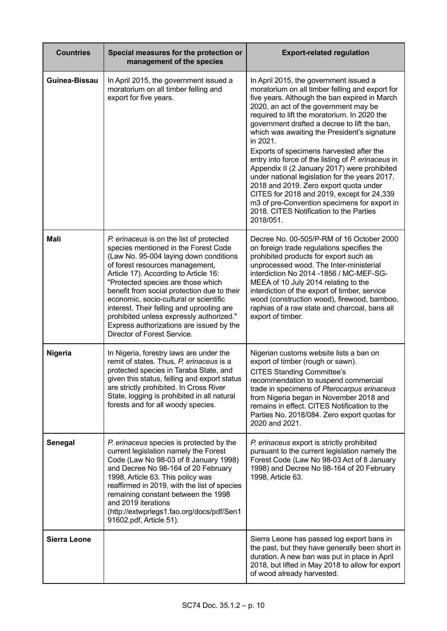| <b>Countries</b>    | Special measures for the protection or<br>management of the species                                                                                                                                                                                                                                                                                                                                                                                                                                       | <b>Export-related regulation</b>                                                                                                                                                                                                                                                                                                                                                                                                                                                                                                                                                                                                                                                                                                                    |  |
|---------------------|-----------------------------------------------------------------------------------------------------------------------------------------------------------------------------------------------------------------------------------------------------------------------------------------------------------------------------------------------------------------------------------------------------------------------------------------------------------------------------------------------------------|-----------------------------------------------------------------------------------------------------------------------------------------------------------------------------------------------------------------------------------------------------------------------------------------------------------------------------------------------------------------------------------------------------------------------------------------------------------------------------------------------------------------------------------------------------------------------------------------------------------------------------------------------------------------------------------------------------------------------------------------------------|--|
| Guinea-Bissau       | In April 2015, the government issued a<br>moratorium on all timber felling and<br>export for five years.                                                                                                                                                                                                                                                                                                                                                                                                  | In April 2015, the government issued a<br>moratorium on all timber felling and export for<br>five years. Although the ban expired in March<br>2020, an act of the government may be<br>required to lift the moratorium. In 2020 the<br>government drafted a decree to lift the ban,<br>which was awaiting the President's signature<br>in 2021.<br>Exports of specimens harvested after the<br>entry into force of the listing of P. erinaceus in<br>Appendix II (2 January 2017) were prohibited<br>under national legislation for the years 2017,<br>2018 and 2019. Zero export quota under<br>CITES for 2018 and 2019, except for 24,339<br>m3 of pre-Convention specimens for export in<br>2018. CITES Notification to the Parties<br>2018/051. |  |
| <b>Mali</b>         | P. erinaceus is on the list of protected<br>species mentioned in the Forest Code<br>(Law No. 95-004 laying down conditions<br>of forest resources management,<br>Article 17). According to Article 16:<br>"Protected species are those which<br>benefit from social protection due to their<br>economic, socio-cultural or scientific<br>interest. Their felling and uprooting are<br>prohibited unless expressly authorized."<br>Express authorizations are issued by the<br>Director of Forest Service. | Decree No. 00-505/P-RM of 16 October 2000<br>on foreign trade regulations specifies the<br>prohibited products for export such as<br>unprocessed wood. The Inter-ministerial<br>interdiction No 2014 -1856 / MC-MEF-SG-<br>MEEA of 10 July 2014 relating to the<br>interdiction of the export of timber, service<br>wood (construction wood), firewood, bamboo,<br>raphias of a raw state and charcoal, bans all<br>export of timber.                                                                                                                                                                                                                                                                                                               |  |
| <b>Nigeria</b>      | In Nigeria, forestry laws are under the<br>remit of states. Thus, P. erinaceus is a<br>protected species in Taraba State, and<br>given this status, felling and export status<br>are strictly prohibited. In Cross River<br>State, logging is prohibited in all natural<br>forests and for all woody species.                                                                                                                                                                                             | Nigerian customs website lists a ban on<br>export of timber (rough or sawn).<br><b>CITES Standing Committee's</b><br>recommendation to suspend commercial<br>trade in specimens of Pterocarpus erinaceus<br>from Nigeria began in November 2018 and<br>remains in effect. CITES Notification to the<br>Parties No. 2018/084. Zero export quotas for<br>2020 and 2021.                                                                                                                                                                                                                                                                                                                                                                               |  |
| Senegal             | P. erinaceus species is protected by the<br>current legislation namely the Forest<br>Code (Law No 98-03 of 8 January 1998)<br>and Decree No 98-164 of 20 February<br>1998, Article 63. This policy was<br>reaffirmed in 2019, with the list of species<br>remaining constant between the 1998<br>and 2019 iterations<br>(http://extwprlegs1.fao.org/docs/pdf/Sen1<br>91602.pdf, Article 51).                                                                                                              | P. erinaceus export is strictly prohibited<br>pursuant to the current legislation namely the<br>Forest Code (Law No 98-03 Act of 8 January<br>1998) and Decree No 98-164 of 20 February<br>1998, Article 63.                                                                                                                                                                                                                                                                                                                                                                                                                                                                                                                                        |  |
| <b>Sierra Leone</b> |                                                                                                                                                                                                                                                                                                                                                                                                                                                                                                           | Sierra Leone has passed log export bans in<br>the past, but they have generally been short in<br>duration. A new ban was put in place in April<br>2018, but lifted in May 2018 to allow for export<br>of wood already harvested.                                                                                                                                                                                                                                                                                                                                                                                                                                                                                                                    |  |